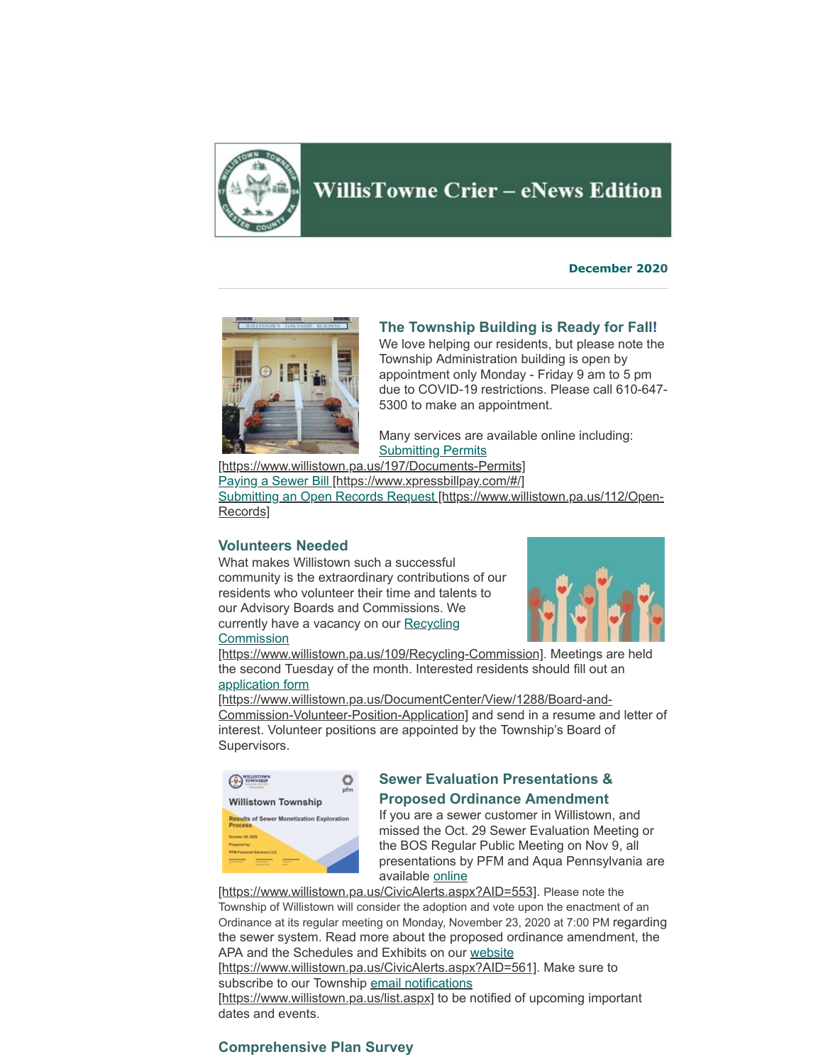

# **WillisTowne Crier - eNews Edition**

**December 2020**



### **The Township Building is Ready for Fall!**

We love helping our residents, but please note the Township Administration building is open by appointment only Monday - Friday 9 am to 5 pm due to COVID-19 restrictions. Please call 610-647- 5300 to make an appointment.

Many services are available online including: **Submitting Permits** 

[\[https://www.willistown.pa.us/197/Documents-Permits\]](https://www.willistown.pa.us/197/Documents-Permits) [Paying a Sewer Bill \[https://www.xpressbillpay.com/#/\]](https://www.xpressbillpay.com/#/) [Submitting an Open Records Request \[https://www.willistown.pa.us/112/Open-](https://www.willistown.pa.us/112/Open-Records)Records]

#### **Volunteers Needed**

What makes Willistown such a successful community is the extraordinary contributions of our residents who volunteer their time and talents to our Advisory Boards and Commissions. We currently have a vacancy on our Recycling **Commission** 



[\[https://www.willistown.pa.us/109/Recycling-Commission\].](https://www.willistown.pa.us/109/Recycling-Commission) Meetings are held the second Tuesday of the month. Interested residents should fill out an application form

[\[https://www.willistown.pa.us/DocumentCenter/View/1288/Board-and-](https://www.willistown.pa.us/DocumentCenter/View/1288/Board-and-Commission-Volunteer-Position-Application)Commission-Volunteer-Position-Application] and send in a resume and letter of interest. Volunteer positions are appointed by the Township's Board of Supervisors.



## **Sewer Evaluation Presentations & Proposed Ordinance Amendment**

If you are a sewer customer in Willistown, and missed the Oct. 29 Sewer Evaluation Meeting or the BOS Regular Public Meeting on Nov 9, all presentations by PFM and Aqua Pennsylvania are available online

[\[https://www.willistown.pa.us/CivicAlerts.aspx?AID=553\]](https://www.willistown.pa.us/CivicAlerts.aspx?AID=553). Please note the Township of Willistown will consider the adoption and vote upon the enactment of an Ordinance at its regular meeting on Monday, November 23, 2020 at 7:00 PM regarding the sewer system. Read more about the proposed ordinance amendment, the APA and the Schedules and Exhibits on our website

[\[https://www.willistown.pa.us/CivicAlerts.aspx?AID=561\]](https://www.willistown.pa.us/CivicAlerts.aspx?AID=561). Make sure to [subscribe to our Township email notifications](https://www.willistown.pa.us/list.aspx)

[https://www.willistown.pa.us/list.aspx] to be notified of upcoming important dates and events.

#### **Comprehensive Plan Survey**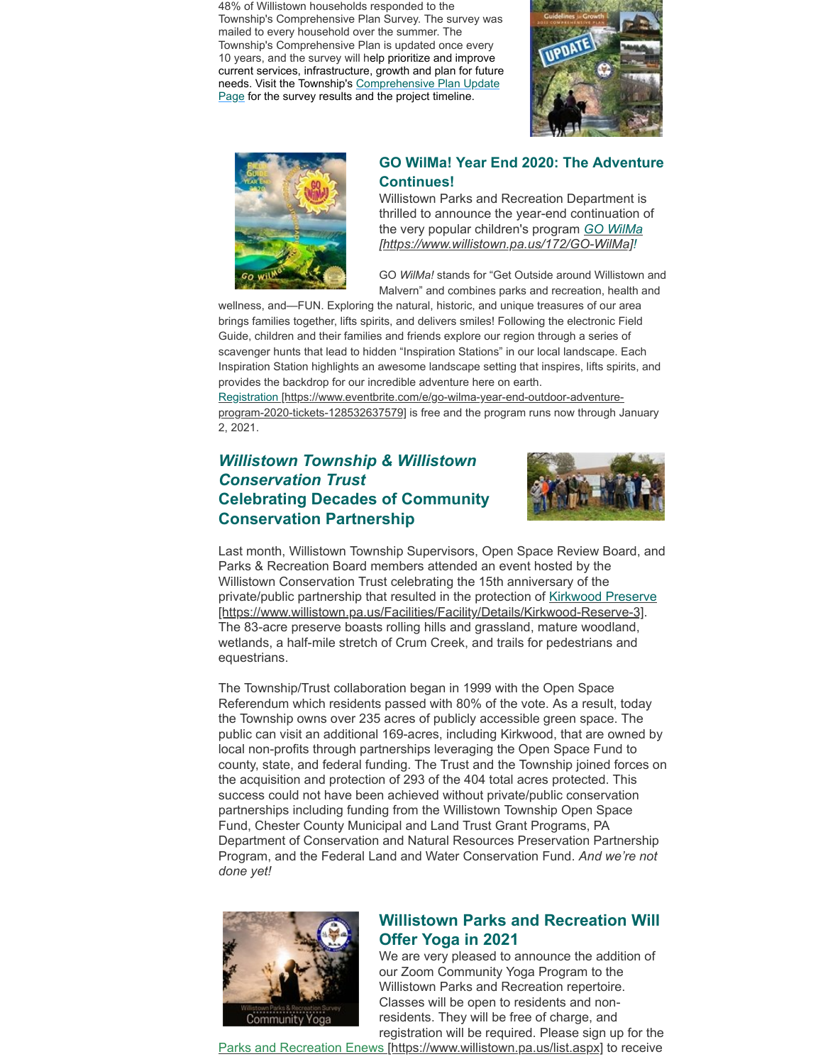48% of Willistown households responded to the Township's Comprehensive Plan Survey. The survey was mailed to every household over the summer. The Township's Comprehensive Plan is updated once every 10 years, and the survey will help prioritize and improve current services, infrastructure, growth and plan for future [needs. Visit the Township's Comprehensive Plan Update](https://www.willistown.pa.us/317/Comprehensive-Plan-Update) Page for the survey results and the project timeline.





## **GO WilMa! Year End 2020: The Adventure Continues!**

Willistown Parks and Recreation Department is thrilled to announce the year-end continuation of the very popular children's program *GO WilMa [\[https://www.willistown.pa.us/172/GO-WilMa\]!](https://www.willistown.pa.us/172/GO-WilMa)* 

GO *WilMa!* stands for "Get Outside around Willistown and Malvern" and combines parks and recreation, health and

wellness, and—FUN. Exploring the natural, historic, and unique treasures of our area brings families together, lifts spirits, and delivers smiles! Following the electronic Field Guide, children and their families and friends explore our region through a series of scavenger hunts that lead to hidden "Inspiration Stations" in our local landscape. Each Inspiration Station highlights an awesome landscape setting that inspires, lifts spirits, and provides the backdrop for our incredible adventure here on earth.

[Registration \[https://www.eventbrite.com/e/go-wilma-year-end-outdoor-adventure](https://www.eventbrite.com/e/go-wilma-year-end-outdoor-adventure-program-2020-tickets-128532637579)program-2020-tickets-128532637579] is free and the program runs now through January 2, 2021.

## *Willistown Township & Willistown Conservation Trust* **Celebrating Decades of Community Conservation Partnership**



Last month, Willistown Township Supervisors, Open Space Review Board, and Parks & Recreation Board members attended an event hosted by the Willistown Conservation Trust celebrating the 15th anniversary of the [private/public partnership that resulted in the protection of Kirkwood Preserve](https://www.willistown.pa.us/Facilities/Facility/Details/Kirkwood-Reserve-3) [https://www.willistown.pa.us/Facilities/Facility/Details/Kirkwood-Reserve-3]. The 83-acre preserve boasts rolling hills and grassland, mature woodland, wetlands, a half-mile stretch of Crum Creek, and trails for pedestrians and equestrians.

The Township/Trust collaboration began in 1999 with the Open Space Referendum which residents passed with 80% of the vote. As a result, today the Township owns over 235 acres of publicly accessible green space. The public can visit an additional 169-acres, including Kirkwood, that are owned by local non-profits through partnerships leveraging the Open Space Fund to county, state, and federal funding. The Trust and the Township joined forces on the acquisition and protection of 293 of the 404 total acres protected. This success could not have been achieved without private/public conservation partnerships including funding from the Willistown Township Open Space Fund, Chester County Municipal and Land Trust Grant Programs, PA Department of Conservation and Natural Resources Preservation Partnership Program, and the Federal Land and Water Conservation Fund. *And we're not done yet!*



## **Willistown Parks and Recreation Will Offer Yoga in 2021**

We are very pleased to announce the addition of our Zoom Community Yoga Program to the Willistown Parks and Recreation repertoire. Classes will be open to residents and nonresidents. They will be free of charge, and registration will be required. Please sign up for the

[Parks and Recreation Enews \[https://www.willistown.pa.us/list.aspx\]](https://www.willistown.pa.us/list.aspx) to receive